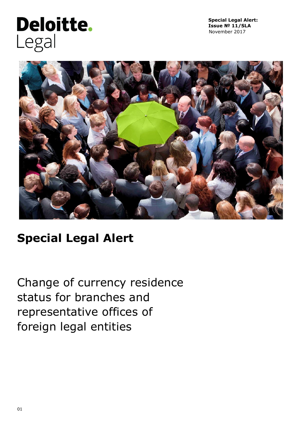# **Deloitte.** Legal

**Special Legal Alert: Issue № 11/SLA**  November 2017



## **Special Legal Alert**

Change of currency residence status for branches and representative offices of foreign legal entities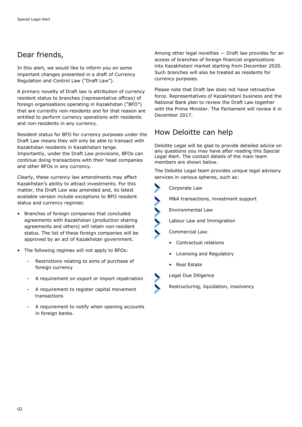## Dear friends,

In this alert, we would like to inform you on some important changes presented in a draft of Currency Regulation and Control Law ("Draft Law").

A primary novelty of Draft law is attribution of currency resident status to branches (representative offices) of foreign organisations operating in Kazakhstan ("BFO") that are currently non-residents and for that reason are entitled to perform currency operations with residents and non-residents in any currency.

Resident status for BFO for currency purposes under the Draft Law means they will only be able to transact with Kazakhstan residents in Kazakhstani tenge. Importantly, under the Draft Law provisions, BFOs can continue doing transactions with their head companies and other BFOs in any currency.

Clearly, these currency law amendments may affect Kazakhstan's ability to attract investments. For this matter, the Draft Law was amended and, its latest available version include exceptions to BFO resident status and currency regimes:

- Branches of foreign companies that concluded agreements with Kazakhstan (production sharing agreements and others) will retain non-resident status. The list of these foreign companies will be approved by an act of Kazakhstan government.
- The following regimes will not apply to BFOs:
	- Restrictions relating to aims of purchase of foreign currency
	- A requirement on export or import repatriation
	- A requirement to register capital movement transactions
	- A requirement to notify when opening accounts in foreign banks.

Among other legal novelties — Draft law provides for an access of branches of foreign financial organizations into Kazakhstani market starting from December 2020. Such branches will also be treated as residents for currency purposes.

Please note that Draft law does not have retroactive force. Representatives of Kazakhstani business and the National Bank plan to review the Draft Law together with the Prime Minister. The Parliament will review it in December 2017.

## How Deloitte can help

Deloitte Legal will be glad to provide detailed advice on any questions you may have after reading this Special Legal Alert. The contact details of the main team members are shown below.

The Deloitte Legal team provides unique legal advisory services in various spheres, such as:



Corporate Law

M&A transactions, investment support

Environmental Law

Labour Law and Immigration

Commercial Law:

- Contractual relations
- Licensing and Regulatory
- Real Estate

Legal Due Diligence

Restructuring, liquidation, insolvency